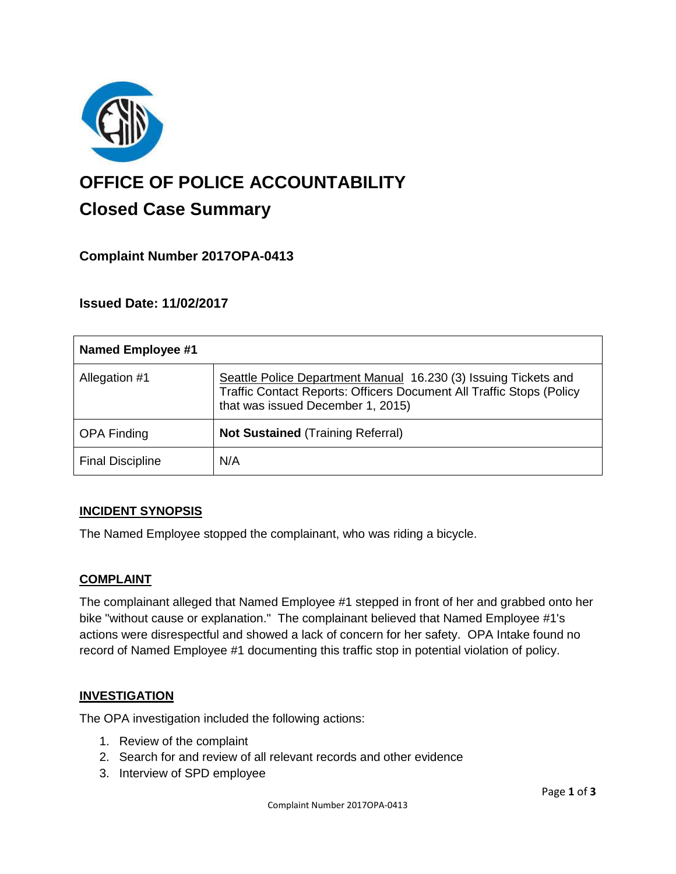

# **OFFICE OF POLICE ACCOUNTABILITY**

# **Closed Case Summary**

## **Complaint Number 2017OPA-0413**

### **Issued Date: 11/02/2017**

| <b>Named Employee #1</b> |                                                                                                                                                                              |
|--------------------------|------------------------------------------------------------------------------------------------------------------------------------------------------------------------------|
| Allegation #1            | Seattle Police Department Manual 16.230 (3) Issuing Tickets and<br>Traffic Contact Reports: Officers Document All Traffic Stops (Policy<br>that was issued December 1, 2015) |
| <b>OPA Finding</b>       | <b>Not Sustained (Training Referral)</b>                                                                                                                                     |
| <b>Final Discipline</b>  | N/A                                                                                                                                                                          |

#### **INCIDENT SYNOPSIS**

The Named Employee stopped the complainant, who was riding a bicycle.

#### **COMPLAINT**

The complainant alleged that Named Employee #1 stepped in front of her and grabbed onto her bike "without cause or explanation." The complainant believed that Named Employee #1's actions were disrespectful and showed a lack of concern for her safety. OPA Intake found no record of Named Employee #1 documenting this traffic stop in potential violation of policy.

#### **INVESTIGATION**

The OPA investigation included the following actions:

- 1. Review of the complaint
- 2. Search for and review of all relevant records and other evidence
- 3. Interview of SPD employee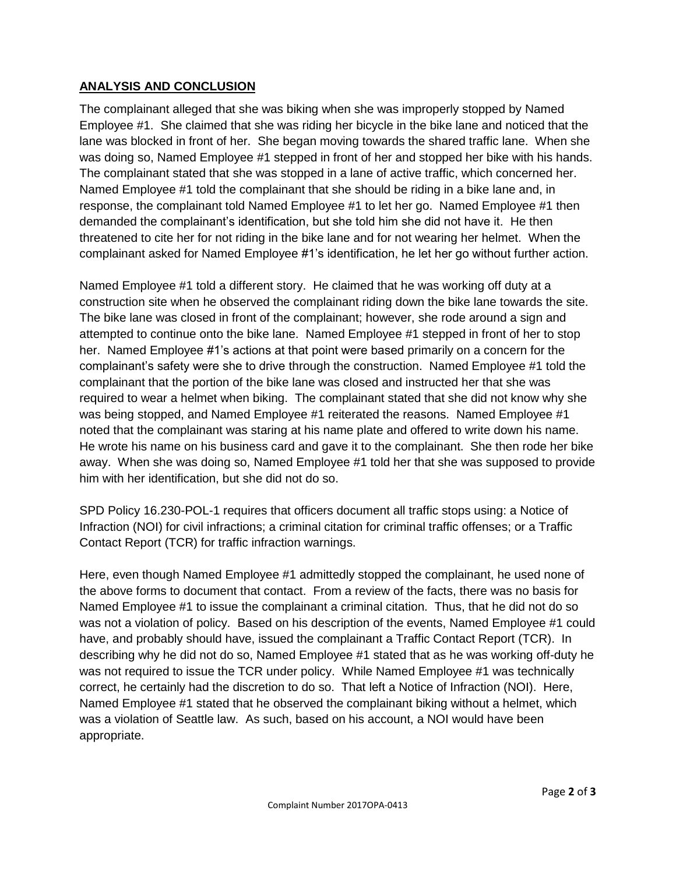#### **ANALYSIS AND CONCLUSION**

The complainant alleged that she was biking when she was improperly stopped by Named Employee #1. She claimed that she was riding her bicycle in the bike lane and noticed that the lane was blocked in front of her. She began moving towards the shared traffic lane. When she was doing so, Named Employee #1 stepped in front of her and stopped her bike with his hands. The complainant stated that she was stopped in a lane of active traffic, which concerned her. Named Employee #1 told the complainant that she should be riding in a bike lane and, in response, the complainant told Named Employee #1 to let her go. Named Employee #1 then demanded the complainant's identification, but she told him she did not have it. He then threatened to cite her for not riding in the bike lane and for not wearing her helmet. When the complainant asked for Named Employee #1's identification, he let her go without further action.

Named Employee #1 told a different story. He claimed that he was working off duty at a construction site when he observed the complainant riding down the bike lane towards the site. The bike lane was closed in front of the complainant; however, she rode around a sign and attempted to continue onto the bike lane. Named Employee #1 stepped in front of her to stop her. Named Employee #1's actions at that point were based primarily on a concern for the complainant's safety were she to drive through the construction. Named Employee #1 told the complainant that the portion of the bike lane was closed and instructed her that she was required to wear a helmet when biking. The complainant stated that she did not know why she was being stopped, and Named Employee #1 reiterated the reasons. Named Employee #1 noted that the complainant was staring at his name plate and offered to write down his name. He wrote his name on his business card and gave it to the complainant. She then rode her bike away. When she was doing so, Named Employee #1 told her that she was supposed to provide him with her identification, but she did not do so.

SPD Policy 16.230-POL-1 requires that officers document all traffic stops using: a Notice of Infraction (NOI) for civil infractions; a criminal citation for criminal traffic offenses; or a Traffic Contact Report (TCR) for traffic infraction warnings.

Here, even though Named Employee #1 admittedly stopped the complainant, he used none of the above forms to document that contact. From a review of the facts, there was no basis for Named Employee #1 to issue the complainant a criminal citation. Thus, that he did not do so was not a violation of policy. Based on his description of the events, Named Employee #1 could have, and probably should have, issued the complainant a Traffic Contact Report (TCR). In describing why he did not do so, Named Employee #1 stated that as he was working off-duty he was not required to issue the TCR under policy. While Named Employee #1 was technically correct, he certainly had the discretion to do so. That left a Notice of Infraction (NOI). Here, Named Employee #1 stated that he observed the complainant biking without a helmet, which was a violation of Seattle law. As such, based on his account, a NOI would have been appropriate.